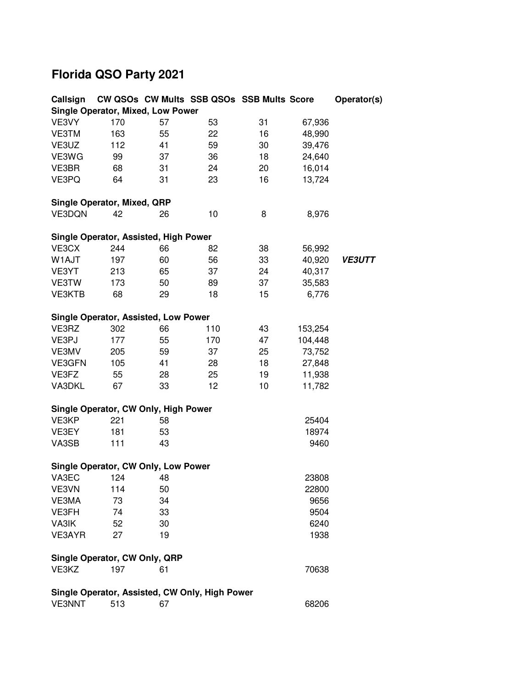## **Florida QSO Party 2021**

| Callsign                                       |                                             |    | CW QSOs CW Mults SSB QSOs SSB Mults Score |    |         | Operator(s)   |  |  |  |  |  |
|------------------------------------------------|---------------------------------------------|----|-------------------------------------------|----|---------|---------------|--|--|--|--|--|
| <b>Single Operator, Mixed, Low Power</b>       |                                             |    |                                           |    |         |               |  |  |  |  |  |
| VE3VY                                          | 170                                         | 57 | 53                                        | 31 | 67,936  |               |  |  |  |  |  |
| VE3TM                                          | 163                                         | 55 | 22                                        | 16 | 48,990  |               |  |  |  |  |  |
| VE3UZ                                          | 112                                         | 41 | 59                                        | 30 | 39,476  |               |  |  |  |  |  |
| VE3WG                                          | 99                                          | 37 | 36                                        | 18 | 24,640  |               |  |  |  |  |  |
| VE3BR                                          | 68                                          | 31 | 24                                        | 20 | 16,014  |               |  |  |  |  |  |
| VE3PQ                                          | 64                                          | 31 | 23                                        | 16 | 13,724  |               |  |  |  |  |  |
|                                                |                                             |    |                                           |    |         |               |  |  |  |  |  |
| <b>Single Operator, Mixed, QRP</b>             |                                             |    |                                           |    |         |               |  |  |  |  |  |
| VE3DQN                                         | 42                                          | 26 | 10                                        | 8  | 8,976   |               |  |  |  |  |  |
|                                                |                                             |    |                                           |    |         |               |  |  |  |  |  |
| Single Operator, Assisted, High Power          |                                             |    |                                           |    |         |               |  |  |  |  |  |
| VE3CX                                          | 244                                         | 66 | 82                                        | 38 | 56,992  |               |  |  |  |  |  |
| W1AJT                                          | 197                                         | 60 | 56                                        | 33 | 40,920  | <b>VE3UTT</b> |  |  |  |  |  |
| VE3YT                                          | 213                                         | 65 | 37                                        | 24 | 40,317  |               |  |  |  |  |  |
| VE3TW                                          | 173                                         | 50 | 89                                        | 37 | 35,583  |               |  |  |  |  |  |
| <b>VE3KTB</b>                                  | 68                                          | 29 | 18                                        | 15 | 6,776   |               |  |  |  |  |  |
|                                                |                                             |    |                                           |    |         |               |  |  |  |  |  |
|                                                | <b>Single Operator, Assisted, Low Power</b> |    |                                           |    |         |               |  |  |  |  |  |
| VE3RZ                                          | 302                                         | 66 | 110                                       | 43 | 153,254 |               |  |  |  |  |  |
| VE3PJ                                          | 177                                         | 55 | 170                                       | 47 | 104,448 |               |  |  |  |  |  |
| VE3MV                                          | 205                                         | 59 | 37                                        | 25 | 73,752  |               |  |  |  |  |  |
| VE3GFN                                         | 105                                         | 41 | 28                                        | 18 | 27,848  |               |  |  |  |  |  |
| VE3FZ                                          | 55                                          | 28 | 25                                        | 19 | 11,938  |               |  |  |  |  |  |
| VA3DKL                                         | 67                                          | 33 | 12                                        | 10 | 11,782  |               |  |  |  |  |  |
|                                                |                                             |    |                                           |    |         |               |  |  |  |  |  |
|                                                | Single Operator, CW Only, High Power        |    |                                           |    |         |               |  |  |  |  |  |
| VE3KP                                          | 221                                         | 58 |                                           |    | 25404   |               |  |  |  |  |  |
| VE3EY                                          | 181                                         | 53 |                                           |    | 18974   |               |  |  |  |  |  |
| VA3SB                                          | 111                                         | 43 |                                           |    | 9460    |               |  |  |  |  |  |
|                                                |                                             |    |                                           |    |         |               |  |  |  |  |  |
|                                                | Single Operator, CW Only, Low Power         |    |                                           |    |         |               |  |  |  |  |  |
| VA3EC                                          | 124                                         | 48 |                                           |    | 23808   |               |  |  |  |  |  |
| VE3VN                                          | 114                                         | 50 |                                           |    | 22800   |               |  |  |  |  |  |
| VE3MA                                          | 73                                          | 34 |                                           |    | 9656    |               |  |  |  |  |  |
| VE3FH                                          | 74                                          | 33 |                                           |    | 9504    |               |  |  |  |  |  |
| VA3IK                                          | 52                                          | 30 |                                           |    | 6240    |               |  |  |  |  |  |
| VE3AYR                                         | 27                                          | 19 |                                           |    | 1938    |               |  |  |  |  |  |
|                                                | Single Operator, CW Only, QRP               |    |                                           |    |         |               |  |  |  |  |  |
| VE3KZ                                          | 197                                         | 61 |                                           |    | 70638   |               |  |  |  |  |  |
|                                                |                                             |    |                                           |    |         |               |  |  |  |  |  |
| Single Operator, Assisted, CW Only, High Power |                                             |    |                                           |    |         |               |  |  |  |  |  |
| <b>VE3NNT</b>                                  | 513                                         | 67 |                                           |    | 68206   |               |  |  |  |  |  |
|                                                |                                             |    |                                           |    |         |               |  |  |  |  |  |